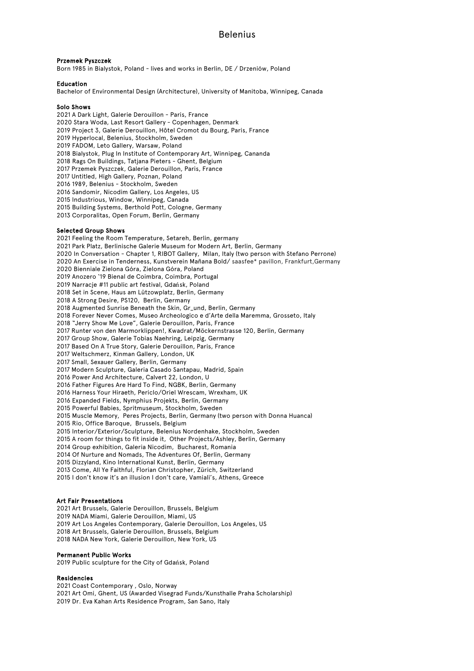## Przemek Pyszczek

Born 1985 in Bialystok, Poland - lives and works in Berlin, DE / Drzeniów, Poland

## Education

Bachelor of Environmental Design (Architecture), University of Manitoba, Winnipeg, Canada

#### Solo Shows

2021 A Dark Light, Galerie Derouillon - Paris, France 2020 Stara Woda, Last Resort Gallery - Copenhagen, Denmark 2019 Project 3, Galerie Derouillon, Hôtel Cromot du Bourg, Paris, France 2019 Hyperlocal, Belenius, Stockholm, Sweden 2019 FADOM, Leto Gallery, Warsaw, Poland 2018 Bialystok, Plug In Institute of Contemporary Art, Winnipeg, Cananda 2018 Rags On Buildings, Tatjana Pieters - Ghent, Belgium 2017 Przemek Pyszczek, Galerie Derouillon, Paris, France 2017 Untitled, High Gallery, Poznan, Poland 2016 1989, Belenius - Stockholm, Sweden 2016 Sandomir, Nicodim Gallery, Los Angeles, US 2015 Industrious, Window, Winnipeg, Canada 2015 Building Systems, Berthold Pott, Cologne, Germany 2013 Corporalitas, Open Forum, Berlin, Germany

## Selected Group Shows

2021 Feeling the Room Temperature, Setareh, Berlin, germany 2021 Park Platz, Berlinische Galerie Museum for Modern Art, Berlin, Germany 2020 In Conversation - Chapter 1, RIBOT Gallery, Milan, Italy (two person with Stefano Perrone) 2020 An Exercise in Tenderness, Kunstverein Mañana Bold/ saasfee\* pavillon, Frankfurt,Germany 2020 Bienniale Zielona Góra, Zielona Góra, Poland 2019 Anozero '19 Bienal de Coimbra, Coimbra, Portugal 2019 Narracje #11 public art festival, Gdańsk, Poland 2018 Set in Scene, Haus am Lützowplatz, Berlin, Germany 2018 A Strong Desire, PS120, Berlin, Germany 2018 Augmented Sunrise Beneath the Skin, Gr\_und, Berlin, Germany 2018 Forever Never Comes, Museo Archeologico e d'Arte della Maremma, Grosseto, Italy 2018 "Jerry Show Me Love", Galerie Derouillon, Paris, France 2017 Runter von den Marmorklippen!, Kwadrat/Möckernstrasse 120, Berlin, Germany 2017 Group Show, Galerie Tobias Naehring, Leipzig, Germany 2017 Based On A True Story, Galerie Derouillon, Paris, France 2017 Weltschmerz, Kinman Gallery, London, UK 2017 Small, Sexauer Gallery, Berlin, Germany 2017 Modern Sculpture, Galeria Casado Santapau, Madrid, Spain 2016 Power And Architecture, Calvert 22, London, U 2016 Father Figures Are Hard To Find, NGBK, Berlin, Germany 2016 Harness Your Hiraeth, Periclo/Oriel Wrescam, Wrexham, UK 2016 Expanded Fields, Nymphius Projekts, Berlin, Germany 2015 Powerful Babies, Spritmuseum, Stockholm, Sweden 2015 Muscle Memory, Peres Projects, Berlin, Germany (two person with Donna Huanca) 2015 Rio, Office Baroque, Brussels, Belgium 2015 Interior/Exterior/Sculpture, Belenius Nordenhake, Stockholm, Sweden 2015 A room for things to fit inside it, Other Projects/Ashley, Berlin, Germany 2014 Group exhibition, Galeria Nicodim, Bucharest, Romania 2014 Of Nurture and Nomads, The Adventures Of, Berlin, Germany 2015 Dizzyland, Kino International Kunst, Berlin, Germany 2013 Come, All Ye Faithful, Florian Christopher, Zürich, Switzerland 2015 I don't know it's an illusion I don't care, Vamiali's, Athens, Greece

# Art Fair Presentations

2021 Art Brussels, Galerie Derouillon, Brussels, Belgium 2019 NADA Miami, Galerie Derouillon, Miami, US 2019 Art Los Angeles Contemporary, Galerie Derouillon, Los Angeles, US 2018 Art Brussels, Galerie Derouillon, Brussels, Belgium 2018 NADA New York, Galerie Derouillon, New York, US

## Permanent Public Works

2019 Public sculpture for the City of Gdańsk, Poland

#### Residencies

2021 Coast Contemporary , Oslo, Norway 2021 Art Omi, Ghent, US (Awarded Visegrad Funds/Kunsthalle Praha Scholarship) 2019 Dr. Eva Kahan Arts Residence Program, San Sano, Italy